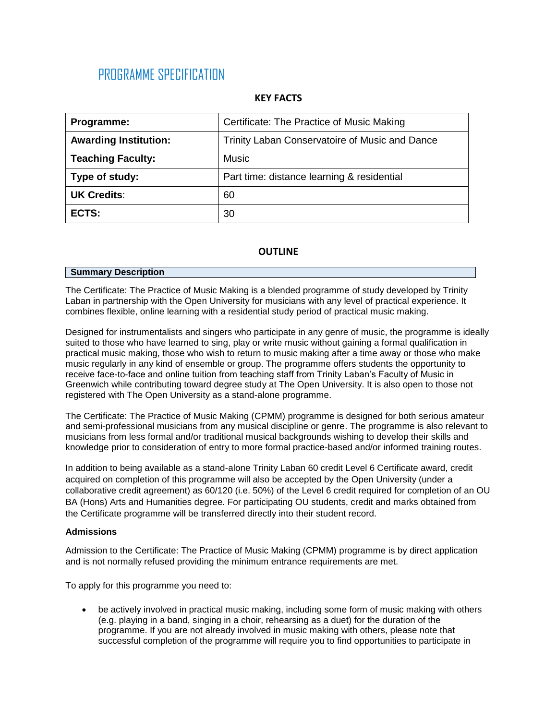# PROGRAMME SPECIFICATION

## **KEY FACTS**

| Programme:                   | Certificate: The Practice of Music Making      |  |  |
|------------------------------|------------------------------------------------|--|--|
| <b>Awarding Institution:</b> | Trinity Laban Conservatoire of Music and Dance |  |  |
| <b>Teaching Faculty:</b>     | <b>Music</b>                                   |  |  |
| Type of study:               | Part time: distance learning & residential     |  |  |
| <b>UK Credits:</b>           | 60                                             |  |  |
| ECTS:                        | 30                                             |  |  |

## **OUTLINE**

## **Summary Description**

The Certificate: The Practice of Music Making is a blended programme of study developed by Trinity Laban in partnership with the Open University for musicians with any level of practical experience. It combines flexible, online learning with a residential study period of practical music making.

Designed for instrumentalists and singers who participate in any genre of music, the programme is ideally suited to those who have learned to sing, play or write music without gaining a formal qualification in practical music making, those who wish to return to music making after a time away or those who make music regularly in any kind of ensemble or group. The programme offers students the opportunity to receive face-to-face and online tuition from teaching staff from Trinity Laban's Faculty of Music in Greenwich while contributing toward degree study at The Open University. It is also open to those not registered with The Open University as a stand-alone programme.

The Certificate: The Practice of Music Making (CPMM) programme is designed for both serious amateur and semi-professional musicians from any musical discipline or genre. The programme is also relevant to musicians from less formal and/or traditional musical backgrounds wishing to develop their skills and knowledge prior to consideration of entry to more formal practice-based and/or informed training routes.

In addition to being available as a stand-alone Trinity Laban 60 credit Level 6 Certificate award, credit acquired on completion of this programme will also be accepted by the Open University (under a collaborative credit agreement) as 60/120 (i.e. 50%) of the Level 6 credit required for completion of an OU BA (Hons) Arts and Humanities degree. For participating OU students, credit and marks obtained from the Certificate programme will be transferred directly into their student record.

## **Admissions**

Admission to the Certificate: The Practice of Music Making (CPMM) programme is by direct application and is not normally refused providing the minimum entrance requirements are met.

To apply for this programme you need to:

 be actively involved in practical music making, including some form of music making with others (e.g. playing in a band, singing in a choir, rehearsing as a duet) for the duration of the programme. If you are not already involved in music making with others, please note that successful completion of the programme will require you to find opportunities to participate in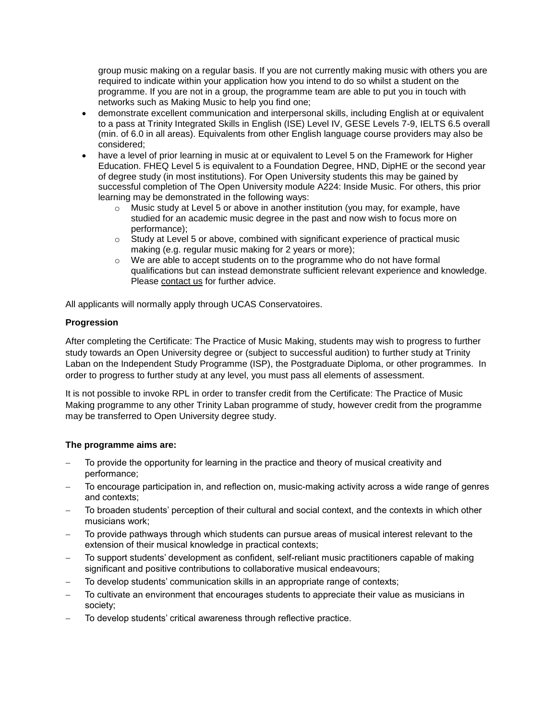group music making on a regular basis. If you are not currently making music with others you are required to indicate within your application how you intend to do so whilst a student on the programme. If you are not in a group, the programme team are able to put you in touch with networks such as Making Music to help you find one;

- demonstrate excellent communication and interpersonal skills, including English at or equivalent to a pass at Trinity Integrated Skills in English (ISE) Level IV, GESE Levels 7-9, IELTS 6.5 overall (min. of 6.0 in all areas). Equivalents from other English language course providers may also be considered;
- have a level of prior learning in music at or equivalent to Level 5 on the Framework for Higher Education. FHEQ Level 5 is equivalent to a Foundation Degree, HND, DipHE or the second year of degree study (in most institutions). For Open University students this may be gained by successful completion of The Open University module A224: Inside Music. For others, this prior learning may be demonstrated in the following ways:
	- $\circ$  Music study at Level 5 or above in another institution (you may, for example, have studied for an academic music degree in the past and now wish to focus more on performance);
	- $\circ$  Study at Level 5 or above, combined with significant experience of practical music making (e.g. regular music making for 2 years or more);
	- o We are able to accept students on to the programme who do not have formal qualifications but can instead demonstrate sufficient relevant experience and knowledge. Please [contact](mailto:infocpmm@trinitylaban.ac.uk) us for further advice.

All applicants will normally apply through UCAS Conservatoires.

## **Progression**

After completing the Certificate: The Practice of Music Making, students may wish to progress to further study towards an Open University degree or (subject to successful audition) to further study at Trinity Laban on the Independent Study Programme (ISP), the Postgraduate Diploma, or other programmes. In order to progress to further study at any level, you must pass all elements of assessment.

It is not possible to invoke RPL in order to transfer credit from the Certificate: The Practice of Music Making programme to any other Trinity Laban programme of study, however credit from the programme may be transferred to Open University degree study.

## **The programme aims are:**

- To provide the opportunity for learning in the practice and theory of musical creativity and performance;
- To encourage participation in, and reflection on, music-making activity across a wide range of genres and contexts;
- To broaden students' perception of their cultural and social context, and the contexts in which other musicians work;
- To provide pathways through which students can pursue areas of musical interest relevant to the extension of their musical knowledge in practical contexts;
- To support students' development as confident, self-reliant music practitioners capable of making significant and positive contributions to collaborative musical endeavours;
- To develop students' communication skills in an appropriate range of contexts;
- To cultivate an environment that encourages students to appreciate their value as musicians in society;
- To develop students' critical awareness through reflective practice.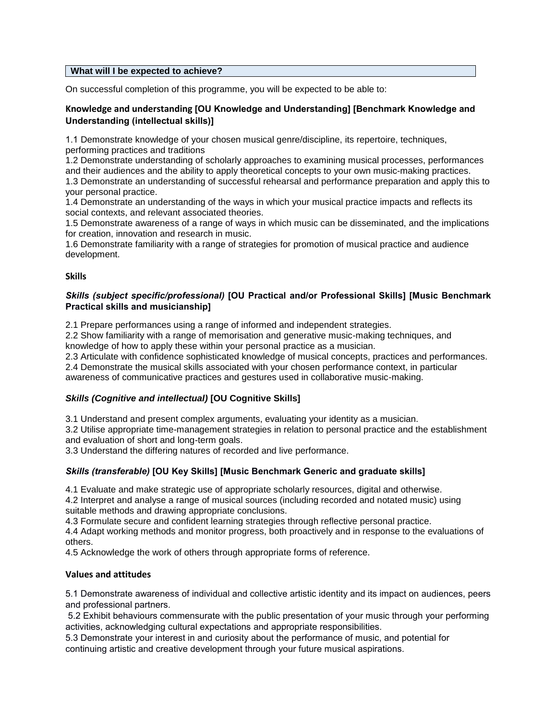## **What will I be expected to achieve?**

On successful completion of this programme, you will be expected to be able to:

## **Knowledge and understanding [OU Knowledge and Understanding] [Benchmark Knowledge and Understanding (intellectual skills)]**

1.1 Demonstrate knowledge of your chosen musical genre/discipline, its repertoire, techniques, performing practices and traditions

1.2 Demonstrate understanding of scholarly approaches to examining musical processes, performances and their audiences and the ability to apply theoretical concepts to your own music-making practices.

1.3 Demonstrate an understanding of successful rehearsal and performance preparation and apply this to your personal practice.

1.4 Demonstrate an understanding of the ways in which your musical practice impacts and reflects its social contexts, and relevant associated theories.

1.5 Demonstrate awareness of a range of ways in which music can be disseminated, and the implications for creation, innovation and research in music.

1.6 Demonstrate familiarity with a range of strategies for promotion of musical practice and audience development.

## **Skills**

## *Skills (subject specific/professional)* **[OU Practical and/or Professional Skills] [Music Benchmark Practical skills and musicianship]**

2.1 Prepare performances using a range of informed and independent strategies.

2.2 Show familiarity with a range of memorisation and generative music-making techniques, and knowledge of how to apply these within your personal practice as a musician.

2.3 Articulate with confidence sophisticated knowledge of musical concepts, practices and performances.

2.4 Demonstrate the musical skills associated with your chosen performance context, in particular awareness of communicative practices and gestures used in collaborative music-making.

## *Skills (Cognitive and intellectual)* **[OU Cognitive Skills]**

3.1 Understand and present complex arguments, evaluating your identity as a musician.

3.2 Utilise appropriate time-management strategies in relation to personal practice and the establishment and evaluation of short and long-term goals.

3.3 Understand the differing natures of recorded and live performance.

## *Skills (transferable)* **[OU Key Skills] [Music Benchmark Generic and graduate skills]**

4.1 Evaluate and make strategic use of appropriate scholarly resources, digital and otherwise.

4.2 Interpret and analyse a range of musical sources (including recorded and notated music) using suitable methods and drawing appropriate conclusions.

4.3 Formulate secure and confident learning strategies through reflective personal practice.

4.4 Adapt working methods and monitor progress, both proactively and in response to the evaluations of others.

4.5 Acknowledge the work of others through appropriate forms of reference.

## **Values and attitudes**

5.1 Demonstrate awareness of individual and collective artistic identity and its impact on audiences, peers and professional partners.

5.2 Exhibit behaviours commensurate with the public presentation of your music through your performing activities, acknowledging cultural expectations and appropriate responsibilities.

5.3 Demonstrate your interest in and curiosity about the performance of music, and potential for continuing artistic and creative development through your future musical aspirations.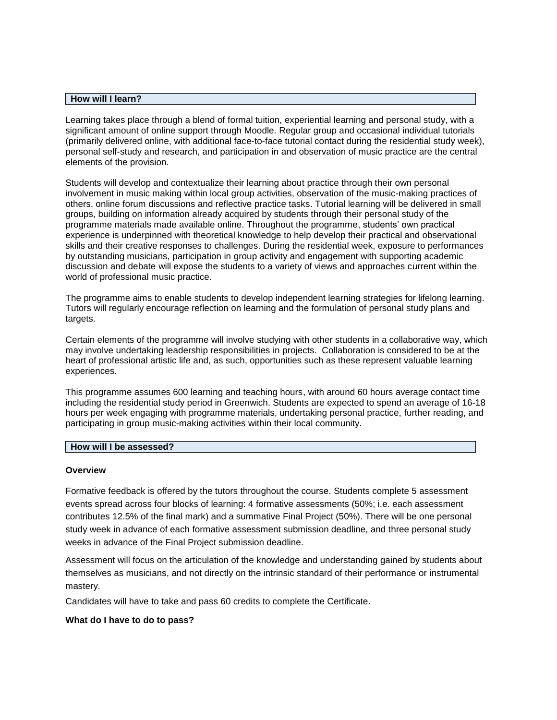#### **How will I learn?**

Learning takes place through a blend of formal tuition, experiential learning and personal study, with a significant amount of online support through Moodle. Regular group and occasional individual tutorials (primarily delivered online, with additional face-to-face tutorial contact during the residential study week), personal self-study and research, and participation in and observation of music practice are the central elements of the provision.

Students will develop and contextualize their learning about practice through their own personal involvement in music making within local group activities, observation of the music-making practices of others, online forum discussions and reflective practice tasks. Tutorial learning will be delivered in small groups, building on information already acquired by students through their personal study of the programme materials made available online. Throughout the programme, students' own practical experience is underpinned with theoretical knowledge to help develop their practical and observational skills and their creative responses to challenges. During the residential week, exposure to performances by outstanding musicians, participation in group activity and engagement with supporting academic discussion and debate will expose the students to a variety of views and approaches current within the world of professional music practice.

The programme aims to enable students to develop independent learning strategies for lifelong learning. Tutors will regularly encourage reflection on learning and the formulation of personal study plans and targets.

Certain elements of the programme will involve studying with other students in a collaborative way, which may involve undertaking leadership responsibilities in projects. Collaboration is considered to be at the heart of professional artistic life and, as such, opportunities such as these represent valuable learning experiences.

This programme assumes 600 learning and teaching hours, with around 60 hours average contact time including the residential study period in Greenwich. Students are expected to spend an average of 16-18 hours per week engaging with programme materials, undertaking personal practice, further reading, and participating in group music-making activities within their local community.

#### **How will I be assessed?**

#### **Overview**

Formative feedback is offered by the tutors throughout the course. Students complete 5 assessment events spread across four blocks of learning: 4 formative assessments (50%; i.e. each assessment contributes 12.5% of the final mark) and a summative Final Project (50%). There will be one personal study week in advance of each formative assessment submission deadline, and three personal study weeks in advance of the Final Project submission deadline.

Assessment will focus on the articulation of the knowledge and understanding gained by students about themselves as musicians, and not directly on the intrinsic standard of their performance or instrumental mastery.

Candidates will have to take and pass 60 credits to complete the Certificate.

#### **What do I have to do to pass?**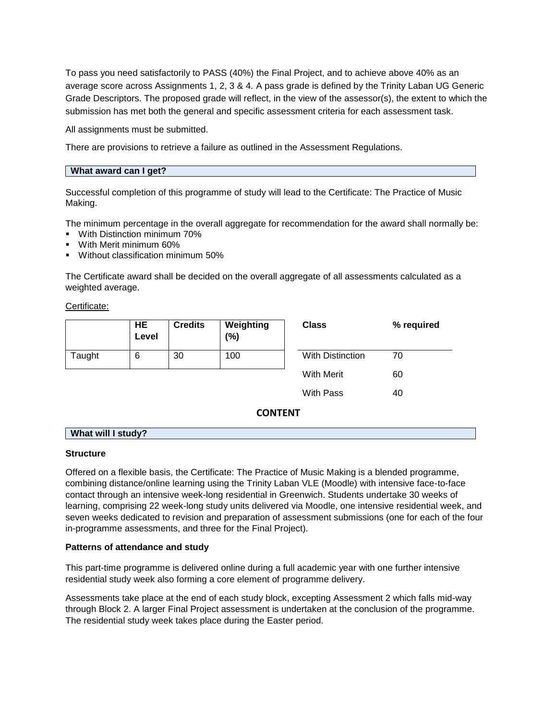To pass you need satisfactorily to PASS (40%) the Final Project, and to achieve above 40% as an average score across Assignments 1, 2, 3 & 4. A pass grade is defined by the Trinity Laban UG Generic Grade Descriptors. The proposed grade will reflect, in the view of the assessor(s), the extent to which the submission has met both the general and specific assessment criteria for each assessment task.

All assignments must be submitted.

There are provisions to retrieve a failure as outlined in the Assessment Regulations.

#### **What award can I get?**

Successful completion of this programme of study will lead to the Certificate: The Practice of Music Making.

The minimum percentage in the overall aggregate for recommendation for the award shall normally be:

- With Distinction minimum 70%
- With Merit minimum 60%
- **Without classification minimum 50%**

The Certificate award shall be decided on the overall aggregate of all assessments calculated as a weighted average.

Certificate:

|        | HE<br>Level | <b>Credits</b> | Weighting<br>$(\%)$ | <b>Class</b>      | % required |
|--------|-------------|----------------|---------------------|-------------------|------------|
| Taught | 6           | 30             | 100                 | With Distinction  | 70         |
|        |             |                |                     | <b>With Merit</b> | 60         |
|        |             |                |                     | With Pass         | 40         |

**CONTENT**

#### **What will I study?**

#### **Structure**

Offered on a flexible basis, the Certificate: The Practice of Music Making is a blended programme, combining distance/online learning using the Trinity Laban VLE (Moodle) with intensive face-to-face contact through an intensive week-long residential in Greenwich. Students undertake 30 weeks of learning, comprising 22 week-long study units delivered via Moodle, one intensive residential week, and seven weeks dedicated to revision and preparation of assessment submissions (one for each of the four in-programme assessments, and three for the Final Project).

#### **Patterns of attendance and study**

This part-time programme is delivered online during a full academic year with one further intensive residential study week also forming a core element of programme delivery.

Assessments take place at the end of each study block, excepting Assessment 2 which falls mid-way through Block 2. A larger Final Project assessment is undertaken at the conclusion of the programme. The residential study week takes place during the Easter period.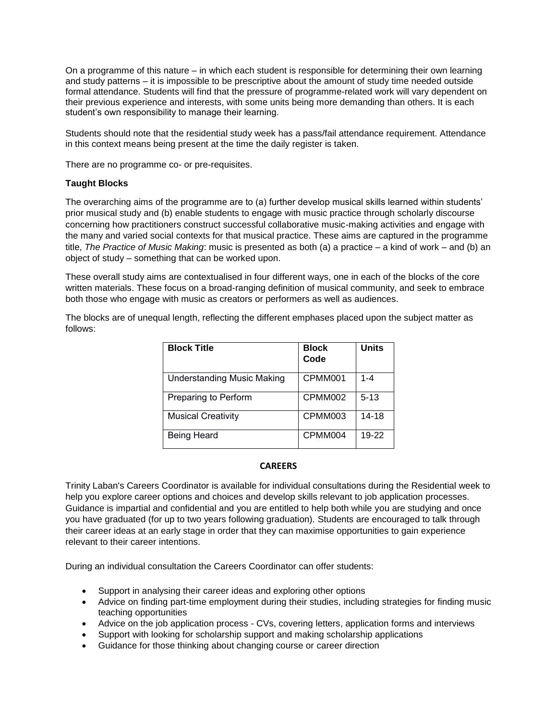On a programme of this nature – in which each student is responsible for determining their own learning and study patterns – it is impossible to be prescriptive about the amount of study time needed outside formal attendance. Students will find that the pressure of programme-related work will vary dependent on their previous experience and interests, with some units being more demanding than others. It is each student's own responsibility to manage their learning.

Students should note that the residential study week has a pass/fail attendance requirement. Attendance in this context means being present at the time the daily register is taken.

There are no programme co- or pre-requisites.

## **Taught Blocks**

The overarching aims of the programme are to (a) further develop musical skills learned within students' prior musical study and (b) enable students to engage with music practice through scholarly discourse concerning how practitioners construct successful collaborative music-making activities and engage with the many and varied social contexts for that musical practice. These aims are captured in the programme title, *The Practice of Music Making*: music is presented as both (a) a practice – a kind of work – and (b) an object of study – something that can be worked upon.

These overall study aims are contextualised in four different ways, one in each of the blocks of the core written materials. These focus on a broad-ranging definition of musical community, and seek to embrace both those who engage with music as creators or performers as well as audiences.

The blocks are of unequal length, reflecting the different emphases placed upon the subject matter as follows:

| <b>Block Title</b>         | <b>Block</b><br>Code | <b>Units</b> |
|----------------------------|----------------------|--------------|
| Understanding Music Making | CPMM001              | $1 - 4$      |
| Preparing to Perform       | CPMM002              | $5-13$       |
| <b>Musical Creativity</b>  | CPMM003              | 14-18        |
| Being Heard                | CPMM004              | 19-22        |

## **CAREERS**

Trinity Laban's Careers Coordinator is available for individual consultations during the Residential week to help you explore career options and choices and develop skills relevant to job application processes. Guidance is impartial and confidential and you are entitled to help both while you are studying and once you have graduated (for up to two years following graduation). Students are encouraged to talk through their career ideas at an early stage in order that they can maximise opportunities to gain experience relevant to their career intentions.

During an individual consultation the Careers Coordinator can offer students:

- Support in analysing their career ideas and exploring other options
- Advice on finding part-time employment during their studies, including strategies for finding music teaching opportunities
- Advice on the job application process CVs, covering letters, application forms and interviews
- Support with looking for scholarship support and making scholarship applications
- Guidance for those thinking about changing course or career direction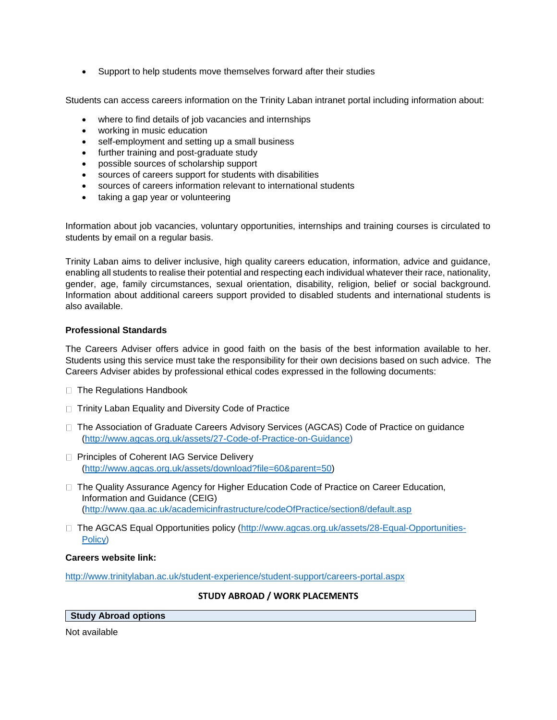• Support to help students move themselves forward after their studies

Students can access careers information on the Trinity Laban intranet portal including information about:

- where to find details of job vacancies and internships
- working in music education
- self-employment and setting up a small business
- further training and post-graduate study
- possible sources of scholarship support
- sources of careers support for students with disabilities
- sources of careers information relevant to international students
- taking a gap year or volunteering

Information about job vacancies, voluntary opportunities, internships and training courses is circulated to students by email on a regular basis.

Trinity Laban aims to deliver inclusive, high quality careers education, information, advice and guidance, enabling all students to realise their potential and respecting each individual whatever their race, nationality, gender, age, family circumstances, sexual orientation, disability, religion, belief or social background. Information about additional careers support provided to disabled students and international students is also available.

## **Professional Standards**

The Careers Adviser offers advice in good faith on the basis of the best information available to her. Students using this service must take the responsibility for their own decisions based on such advice. The Careers Adviser abides by professional ethical codes expressed in the following documents:

- □ The Regulations Handbook
- $\Box$  Trinity Laban Equality and Diversity Code of Practice
- □ The Association of Graduate Careers Advisory Services (AGCAS) Code of Practice on quidance [\(http://www.agcas.org.uk/assets/27-Code-of-Practice-on-Guidance\)](https://mail.trinitylaban.ac.uk/exchweb/bin/redir.asp?URL=http://www.agcas.org.uk/assets/27-Code-of-Practice-on-Guidance)
- □ Principles of Coherent IAG Service Delivery [\(http://www.agcas.org.uk/assets/download?file=60&parent=50\)](https://mail.trinitylaban.ac.uk/exchweb/bin/redir.asp?URL=http://www.agcas.org.uk/assets/download?file=60%26parent=50)
- $\Box$  The Quality Assurance Agency for Higher Education Code of Practice on Career Education, Information and Guidance (CEIG) [\(http://www.qaa.ac.uk/academicinfrastructure/codeOfPractice/section8/default.asp](https://mail.trinitylaban.ac.uk/exchweb/bin/redir.asp?URL=http://www.qaa.ac.uk/academicinfrastructure/codeOfPractice/section8/default.asp)
- □ The AGCAS Equal Opportunities policy [\(http://www.agcas.org.uk/assets/28-Equal-Opportunities-](https://mail.trinitylaban.ac.uk/exchweb/bin/redir.asp?URL=http://www.agcas.org.uk/assets/28-Equal-Opportunities-Policy)[Policy\)](https://mail.trinitylaban.ac.uk/exchweb/bin/redir.asp?URL=http://www.agcas.org.uk/assets/28-Equal-Opportunities-Policy)

## **Careers website link:**

<http://www.trinitylaban.ac.uk/student-experience/student-support/careers-portal.aspx>

## **STUDY ABROAD / WORK PLACEMENTS**

## **Study Abroad options**

Not available